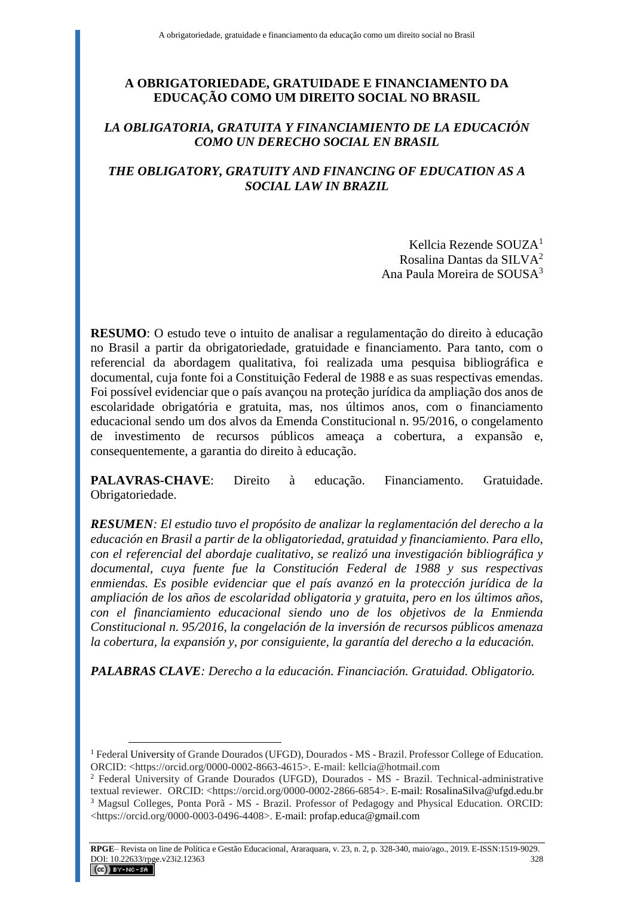# **A OBRIGATORIEDADE, GRATUIDADE E FINANCIAMENTO DA EDUCAÇÃO COMO UM DIREITO SOCIAL NO BRASIL**

# *LA OBLIGATORIA, GRATUITA Y FINANCIAMIENTO DE LA EDUCACIÓN COMO UN DERECHO SOCIAL EN BRASIL*

# *THE OBLIGATORY, GRATUITY AND FINANCING OF EDUCATION AS A SOCIAL LAW IN BRAZIL*

Kellcia Rezende SOUZA<sup>1</sup> Rosalina Dantas da SILVA<sup>2</sup> Ana Paula Moreira de SOUSA<sup>3</sup>

**RESUMO**: O estudo teve o intuito de analisar a regulamentação do direito à educação no Brasil a partir da obrigatoriedade, gratuidade e financiamento. Para tanto, com o referencial da abordagem qualitativa, foi realizada uma pesquisa bibliográfica e documental, cuja fonte foi a Constituição Federal de 1988 e as suas respectivas emendas. Foi possível evidenciar que o país avançou na proteção jurídica da ampliação dos anos de escolaridade obrigatória e gratuita, mas, nos últimos anos, com o financiamento educacional sendo um dos alvos da Emenda Constitucional n. 95/2016, o congelamento de investimento de recursos públicos ameaça a cobertura, a expansão e, consequentemente, a garantia do direito à educação.

**PALAVRAS-CHAVE**: Direito à educação. Financiamento. Gratuidade. Obrigatoriedade.

*RESUMEN: El estudio tuvo el propósito de analizar la reglamentación del derecho a la educación en Brasil a partir de la obligatoriedad, gratuidad y financiamiento. Para ello, con el referencial del abordaje cualitativo, se realizó una investigación bibliográfica y documental, cuya fuente fue la Constitución Federal de 1988 y sus respectivas*  enmiendas. Es posible evidenciar que el país avanzó en la protección jurídica de la *ampliación de los años de escolaridad obligatoria y gratuita, pero en los últimos años, con el financiamiento educacional siendo uno de los objetivos de la Enmienda Constitucional n. 95/2016, la congelación de la inversión de recursos públicos amenaza la cobertura, la expansión y, por consiguiente, la garantía del derecho a la educación.*

*PALABRAS CLAVE: Derecho a la educación. Financiación. Gratuidad. Obligatorio.*

<sup>&</sup>lt;sup>1</sup> Federal University of Grande Dourados (UFGD), Dourados - MS - Brazil. Professor College of Education. ORCID: <https://orcid.org/0000-0002-8663-4615>. E-mail: kellcia@hotmail.com

<sup>2</sup> Federal University of Grande Dourados (UFGD), Dourados - MS - Brazil. Technical-administrative textual reviewer. ORCID: <https://orcid.org/0000-0002-2866-6854>. E-mail: RosalinaSilva@ufgd.edu.br <sup>3</sup> Magsul Colleges, Ponta Porã - MS - Brazil. Professor of Pedagogy and Physical Education. ORCID: <https://orcid.org/0000-0003-0496-4408>. E-mail: profap.educa@gmail.com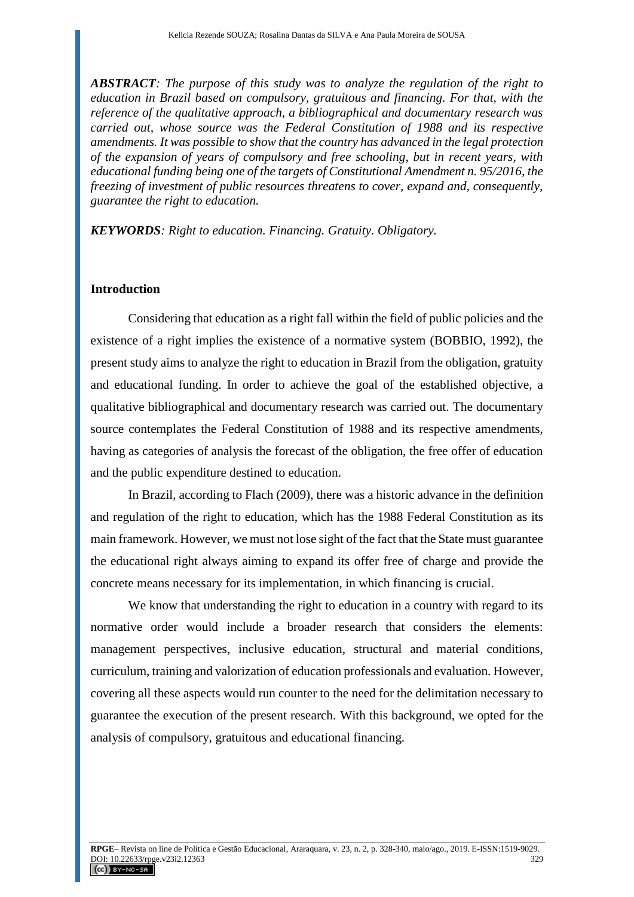*ABSTRACT: The purpose of this study was to analyze the regulation of the right to education in Brazil based on compulsory, gratuitous and financing. For that, with the reference of the qualitative approach, a bibliographical and documentary research was carried out, whose source was the Federal Constitution of 1988 and its respective amendments. It was possible to show that the country has advanced in the legal protection of the expansion of years of compulsory and free schooling, but in recent years, with educational funding being one of the targets of Constitutional Amendment n. 95/2016, the freezing of investment of public resources threatens to cover, expand and, consequently, guarantee the right to education.*

*KEYWORDS: Right to education. Financing. Gratuity. Obligatory.*

## **Introduction**

Considering that education as a right fall within the field of public policies and the existence of a right implies the existence of a normative system (BOBBIO, 1992), the present study aims to analyze the right to education in Brazil from the obligation, gratuity and educational funding. In order to achieve the goal of the established objective, a qualitative bibliographical and documentary research was carried out. The documentary source contemplates the Federal Constitution of 1988 and its respective amendments, having as categories of analysis the forecast of the obligation, the free offer of education and the public expenditure destined to education.

In Brazil, according to Flach (2009), there was a historic advance in the definition and regulation of the right to education, which has the 1988 Federal Constitution as its main framework. However, we must not lose sight of the fact that the State must guarantee the educational right always aiming to expand its offer free of charge and provide the concrete means necessary for its implementation, in which financing is crucial.

We know that understanding the right to education in a country with regard to its normative order would include a broader research that considers the elements: management perspectives, inclusive education, structural and material conditions, curriculum, training and valorization of education professionals and evaluation. However, covering all these aspects would run counter to the need for the delimitation necessary to guarantee the execution of the present research. With this background, we opted for the analysis of compulsory, gratuitous and educational financing.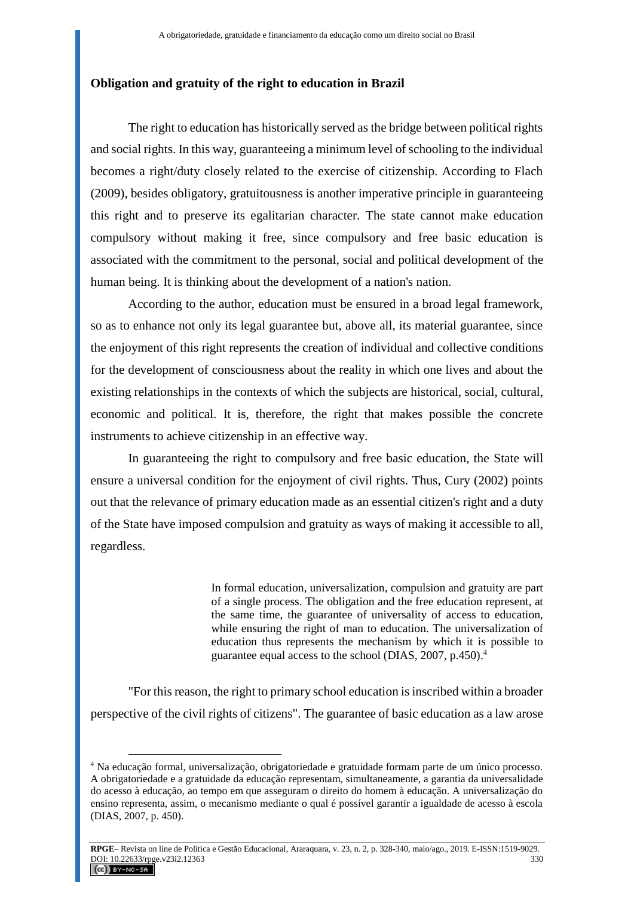### **Obligation and gratuity of the right to education in Brazil**

The right to education has historically served as the bridge between political rights and social rights. In this way, guaranteeing a minimum level of schooling to the individual becomes a right/duty closely related to the exercise of citizenship. According to Flach (2009), besides obligatory, gratuitousness is another imperative principle in guaranteeing this right and to preserve its egalitarian character. The state cannot make education compulsory without making it free, since compulsory and free basic education is associated with the commitment to the personal, social and political development of the human being. It is thinking about the development of a nation's nation.

According to the author, education must be ensured in a broad legal framework, so as to enhance not only its legal guarantee but, above all, its material guarantee, since the enjoyment of this right represents the creation of individual and collective conditions for the development of consciousness about the reality in which one lives and about the existing relationships in the contexts of which the subjects are historical, social, cultural, economic and political. It is, therefore, the right that makes possible the concrete instruments to achieve citizenship in an effective way.

In guaranteeing the right to compulsory and free basic education, the State will ensure a universal condition for the enjoyment of civil rights. Thus, Cury (2002) points out that the relevance of primary education made as an essential citizen's right and a duty of the State have imposed compulsion and gratuity as ways of making it accessible to all, regardless.

> In formal education, universalization, compulsion and gratuity are part of a single process. The obligation and the free education represent, at the same time, the guarantee of universality of access to education, while ensuring the right of man to education. The universalization of education thus represents the mechanism by which it is possible to guarantee equal access to the school (DIAS, 2007, p.450). 4

"For this reason, the right to primary school education is inscribed within a broader perspective of the civil rights of citizens". The guarantee of basic education as a law arose

<sup>4</sup> Na educação formal, universalização, obrigatoriedade e gratuidade formam parte de um único processo. A obrigatoriedade e a gratuidade da educação representam, simultaneamente, a garantia da universalidade do acesso à educação, ao tempo em que asseguram o direito do homem à educação. A universalização do ensino representa, assim, o mecanismo mediante o qual é possível garantir a igualdade de acesso à escola (DIAS, 2007, p. 450).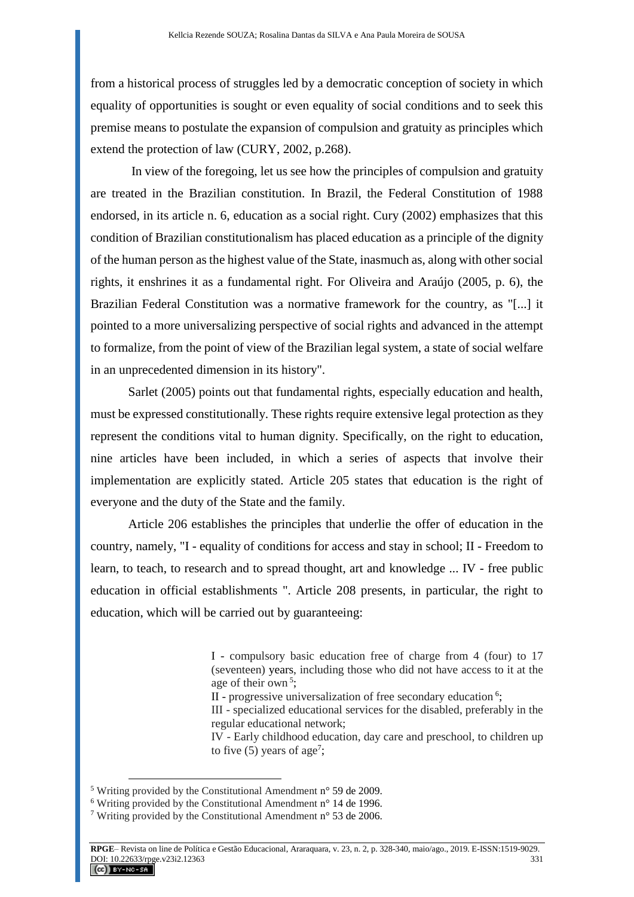from a historical process of struggles led by a democratic conception of society in which equality of opportunities is sought or even equality of social conditions and to seek this premise means to postulate the expansion of compulsion and gratuity as principles which extend the protection of law (CURY, 2002, p.268).

In view of the foregoing, let us see how the principles of compulsion and gratuity are treated in the Brazilian constitution. In Brazil, the Federal Constitution of 1988 endorsed, in its article n. 6, education as a social right. Cury (2002) emphasizes that this condition of Brazilian constitutionalism has placed education as a principle of the dignity of the human person as the highest value of the State, inasmuch as, along with other social rights, it enshrines it as a fundamental right. For Oliveira and Araújo (2005, p. 6), the Brazilian Federal Constitution was a normative framework for the country, as "[...] it pointed to a more universalizing perspective of social rights and advanced in the attempt to formalize, from the point of view of the Brazilian legal system, a state of social welfare in an unprecedented dimension in its history".

Sarlet (2005) points out that fundamental rights, especially education and health, must be expressed constitutionally. These rights require extensive legal protection as they represent the conditions vital to human dignity. Specifically, on the right to education, nine articles have been included, in which a series of aspects that involve their implementation are explicitly stated. Article 205 states that education is the right of everyone and the duty of the State and the family.

Article 206 establishes the principles that underlie the offer of education in the country, namely, "I - equality of conditions for access and stay in school; II - Freedom to learn, to teach, to research and to spread thought, art and knowledge ... IV - free public education in official establishments ". Article 208 presents, in particular, the right to education, which will be carried out by guaranteeing:

IV - Early childhood education, day care and preschool, to children up to five  $(5)$  years of age<sup>7</sup>;

I - compulsory basic education free of charge from 4 (four) to 17 (seventeen) years, including those who did not have access to it at the age of their own<sup>5</sup>;

II - progressive universalization of free secondary education<sup>6</sup>;

III - specialized educational services for the disabled, preferably in the regular educational network;

<sup>5</sup> Writing provided by the Constitutional Amendment n° 59 de 2009.

 $6$  Writing provided by the Constitutional Amendment n<sup>o</sup> 14 de 1996.

<sup>7</sup> Writing provided by the Constitutional Amendment n° 53 de 2006.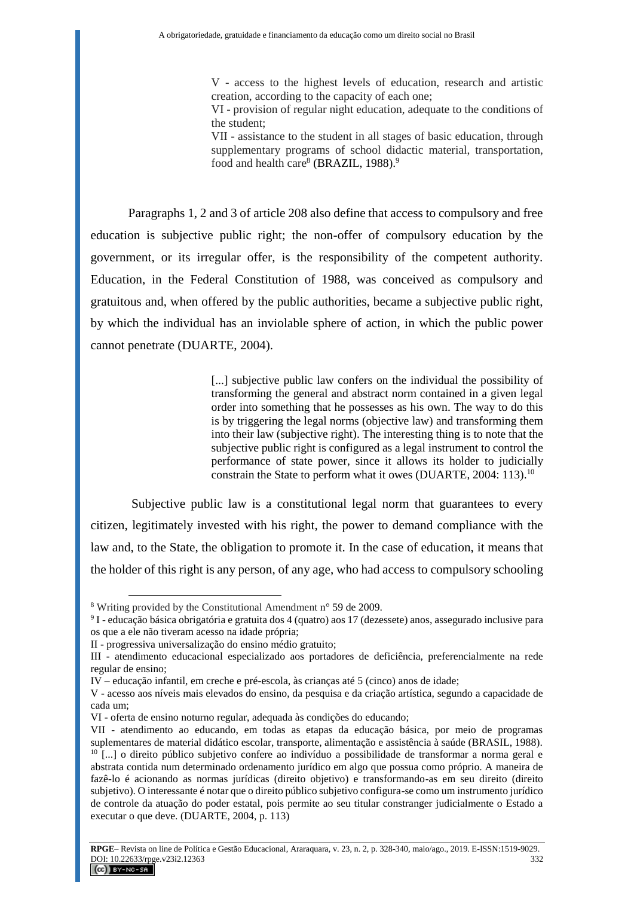V - access to the highest levels of education, research and artistic creation, according to the capacity of each one;

VI - provision of regular night education, adequate to the conditions of the student;

VII - assistance to the student in all stages of basic education, through supplementary programs of school didactic material, transportation, food and health care<sup>8</sup> (BRAZIL, 1988).<sup>9</sup>

Paragraphs 1, 2 and 3 of article 208 also define that access to compulsory and free education is subjective public right; the non-offer of compulsory education by the government, or its irregular offer, is the responsibility of the competent authority. Education, in the Federal Constitution of 1988, was conceived as compulsory and gratuitous and, when offered by the public authorities, became a subjective public right, by which the individual has an inviolable sphere of action, in which the public power cannot penetrate (DUARTE, 2004).

> [...] subjective public law confers on the individual the possibility of transforming the general and abstract norm contained in a given legal order into something that he possesses as his own. The way to do this is by triggering the legal norms (objective law) and transforming them into their law (subjective right). The interesting thing is to note that the subjective public right is configured as a legal instrument to control the performance of state power, since it allows its holder to judicially constrain the State to perform what it owes (DUARTE, 2004: 113).<sup>10</sup>

Subjective public law is a constitutional legal norm that guarantees to every citizen, legitimately invested with his right, the power to demand compliance with the law and, to the State, the obligation to promote it. In the case of education, it means that the holder of this right is any person, of any age, who had access to compulsory schooling

<sup>8</sup> Writing provided by the Constitutional Amendment n° 59 de 2009.

<sup>9</sup> I - educação básica obrigatória e gratuita dos 4 (quatro) aos 17 (dezessete) anos, assegurado inclusive para os que a ele não tiveram acesso na idade própria;

II - progressiva universalização do ensino médio gratuito;

III - atendimento educacional especializado aos portadores de deficiência, preferencialmente na rede regular de ensino;

IV – educação infantil, em creche e pré-escola, às crianças até 5 (cinco) anos de idade;

V - acesso aos níveis mais elevados do ensino, da pesquisa e da criação artística, segundo a capacidade de cada um;

VI - oferta de ensino noturno regular, adequada às condições do educando;

VII - atendimento ao educando, em todas as etapas da educação básica, por meio de programas suplementares de material didático escolar, transporte, alimentação e assistência à saúde (BRASIL, 1988). <sup>10</sup> [...] o direito público subjetivo confere ao indivíduo a possibilidade de transformar a norma geral e abstrata contida num determinado ordenamento jurídico em algo que possua como próprio. A maneira de fazê-lo é acionando as normas jurídicas (direito objetivo) e transformando-as em seu direito (direito subjetivo). O interessante é notar que o direito público subjetivo configura-se como um instrumento jurídico de controle da atuação do poder estatal, pois permite ao seu titular constranger judicialmente o Estado a executar o que deve. (DUARTE, 2004, p. 113)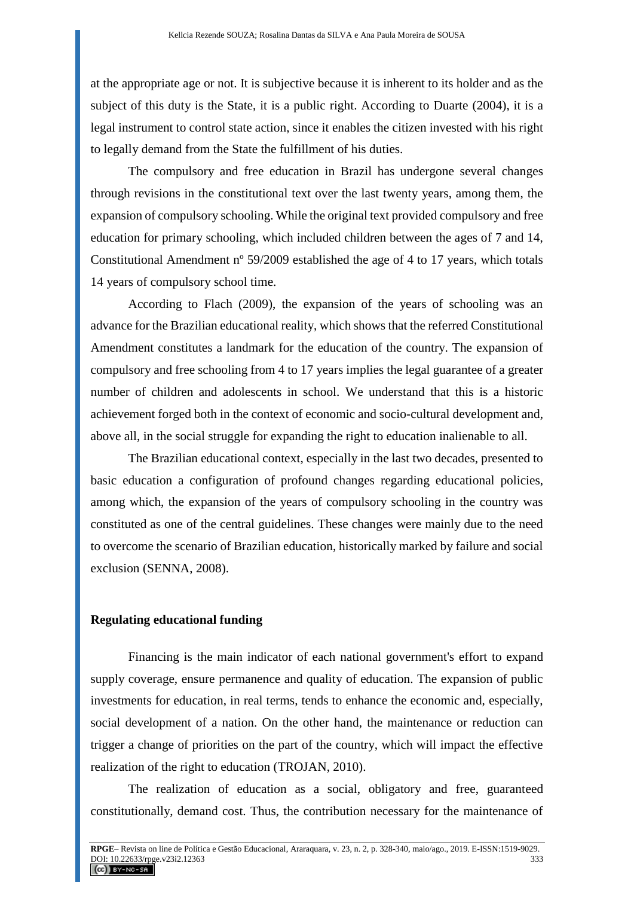at the appropriate age or not. It is subjective because it is inherent to its holder and as the subject of this duty is the State, it is a public right. According to Duarte (2004), it is a legal instrument to control state action, since it enables the citizen invested with his right to legally demand from the State the fulfillment of his duties.

The compulsory and free education in Brazil has undergone several changes through revisions in the constitutional text over the last twenty years, among them, the expansion of compulsory schooling. While the original text provided compulsory and free education for primary schooling, which included children between the ages of 7 and 14, Constitutional Amendment nº 59/2009 established the age of 4 to 17 years, which totals 14 years of compulsory school time.

According to Flach (2009), the expansion of the years of schooling was an advance for the Brazilian educational reality, which shows that the referred Constitutional Amendment constitutes a landmark for the education of the country. The expansion of compulsory and free schooling from 4 to 17 years implies the legal guarantee of a greater number of children and adolescents in school. We understand that this is a historic achievement forged both in the context of economic and socio-cultural development and, above all, in the social struggle for expanding the right to education inalienable to all.

The Brazilian educational context, especially in the last two decades, presented to basic education a configuration of profound changes regarding educational policies, among which, the expansion of the years of compulsory schooling in the country was constituted as one of the central guidelines. These changes were mainly due to the need to overcome the scenario of Brazilian education, historically marked by failure and social exclusion (SENNA, 2008).

#### **Regulating educational funding**

Financing is the main indicator of each national government's effort to expand supply coverage, ensure permanence and quality of education. The expansion of public investments for education, in real terms, tends to enhance the economic and, especially, social development of a nation. On the other hand, the maintenance or reduction can trigger a change of priorities on the part of the country, which will impact the effective realization of the right to education (TROJAN, 2010).

The realization of education as a social, obligatory and free, guaranteed constitutionally, demand cost. Thus, the contribution necessary for the maintenance of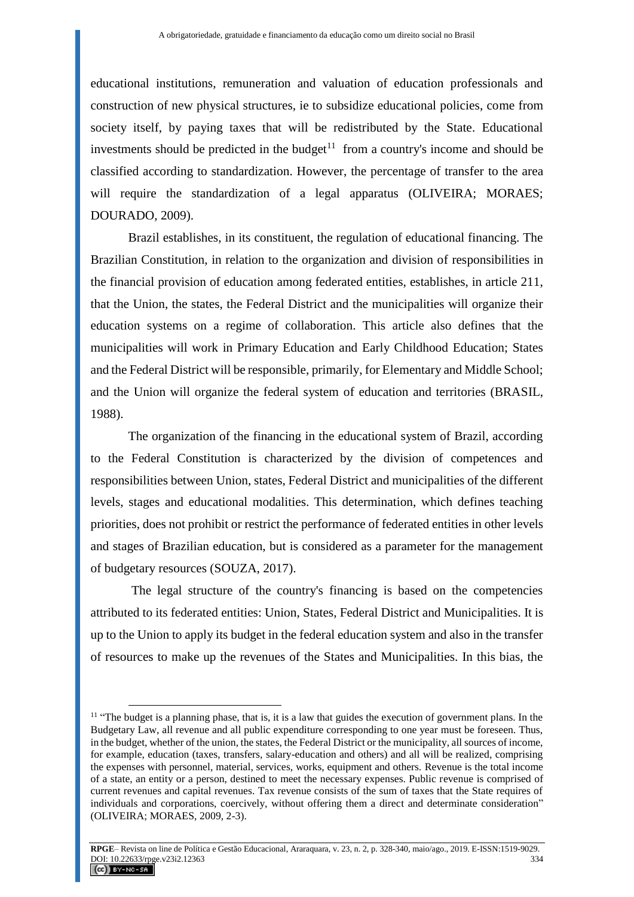educational institutions, remuneration and valuation of education professionals and construction of new physical structures, ie to subsidize educational policies, come from society itself, by paying taxes that will be redistributed by the State. Educational investments should be predicted in the budget<sup>11</sup> from a country's income and should be classified according to standardization. However, the percentage of transfer to the area will require the standardization of a legal apparatus (OLIVEIRA; MORAES; DOURADO, 2009).

Brazil establishes, in its constituent, the regulation of educational financing. The Brazilian Constitution, in relation to the organization and division of responsibilities in the financial provision of education among federated entities, establishes, in article 211, that the Union, the states, the Federal District and the municipalities will organize their education systems on a regime of collaboration. This article also defines that the municipalities will work in Primary Education and Early Childhood Education; States and the Federal District will be responsible, primarily, for Elementary and Middle School; and the Union will organize the federal system of education and territories (BRASIL, 1988).

The organization of the financing in the educational system of Brazil, according to the Federal Constitution is characterized by the division of competences and responsibilities between Union, states, Federal District and municipalities of the different levels, stages and educational modalities. This determination, which defines teaching priorities, does not prohibit or restrict the performance of federated entities in other levels and stages of Brazilian education, but is considered as a parameter for the management of budgetary resources (SOUZA, 2017).

The legal structure of the country's financing is based on the competencies attributed to its federated entities: Union, States, Federal District and Municipalities. It is up to the Union to apply its budget in the federal education system and also in the transfer of resources to make up the revenues of the States and Municipalities. In this bias, the

<sup>&</sup>lt;sup>11</sup> "The budget is a planning phase, that is, it is a law that guides the execution of government plans. In the Budgetary Law, all revenue and all public expenditure corresponding to one year must be foreseen. Thus, in the budget, whether of the union, the states, the Federal District or the municipality, all sources of income, for example, education (taxes, transfers, salary-education and others) and all will be realized, comprising the expenses with personnel, material, services, works, equipment and others. Revenue is the total income of a state, an entity or a person, destined to meet the necessary expenses. Public revenue is comprised of current revenues and capital revenues. Tax revenue consists of the sum of taxes that the State requires of individuals and corporations, coercively, without offering them a direct and determinate consideration" (OLIVEIRA; MORAES, 2009, 2-3).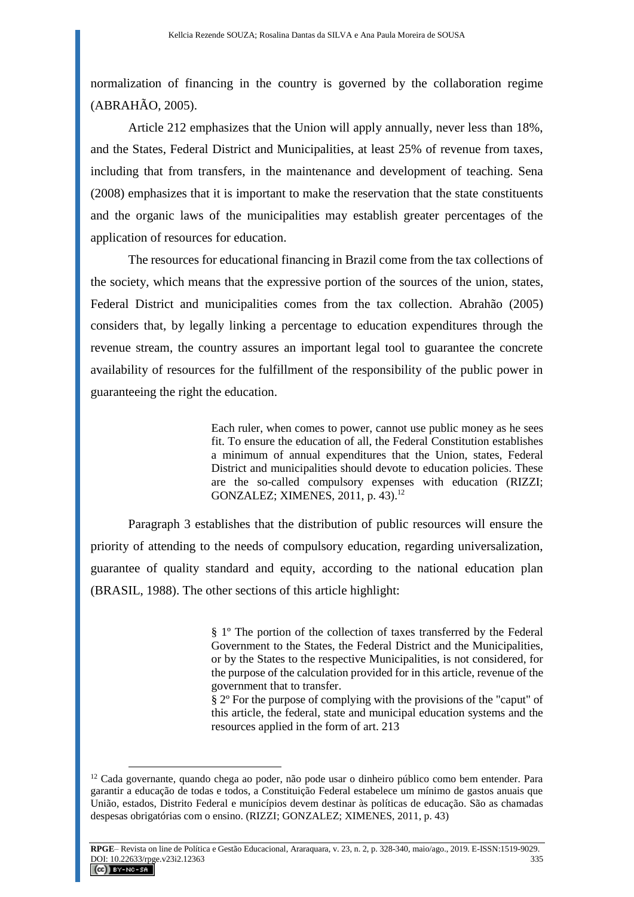normalization of financing in the country is governed by the collaboration regime (ABRAHÃO, 2005).

Article 212 emphasizes that the Union will apply annually, never less than 18%, and the States, Federal District and Municipalities, at least 25% of revenue from taxes, including that from transfers, in the maintenance and development of teaching. Sena (2008) emphasizes that it is important to make the reservation that the state constituents and the organic laws of the municipalities may establish greater percentages of the application of resources for education.

The resources for educational financing in Brazil come from the tax collections of the society, which means that the expressive portion of the sources of the union, states, Federal District and municipalities comes from the tax collection. Abrahão (2005) considers that, by legally linking a percentage to education expenditures through the revenue stream, the country assures an important legal tool to guarantee the concrete availability of resources for the fulfillment of the responsibility of the public power in guaranteeing the right the education.

> Each ruler, when comes to power, cannot use public money as he sees fit. To ensure the education of all, the Federal Constitution establishes a minimum of annual expenditures that the Union, states, Federal District and municipalities should devote to education policies. These are the so-called compulsory expenses with education (RIZZI; GONZALEZ; XIMENES, 2011, p. 43). 12

Paragraph 3 establishes that the distribution of public resources will ensure the priority of attending to the needs of compulsory education, regarding universalization, guarantee of quality standard and equity, according to the national education plan (BRASIL, 1988). The other sections of this article highlight:

> § 1º The portion of the collection of taxes transferred by the Federal Government to the States, the Federal District and the Municipalities, or by the States to the respective Municipalities, is not considered, for the purpose of the calculation provided for in this article, revenue of the government that to transfer.

> § 2º For the purpose of complying with the provisions of the "caput" of this article, the federal, state and municipal education systems and the resources applied in the form of art. 213

<sup>12</sup> Cada governante, quando chega ao poder, não pode usar o dinheiro público como bem entender. Para garantir a educação de todas e todos, a Constituição Federal estabelece um mínimo de gastos anuais que União, estados, Distrito Federal e municípios devem destinar às políticas de educação. São as chamadas despesas obrigatórias com o ensino. (RIZZI; GONZALEZ; XIMENES, 2011, p. 43)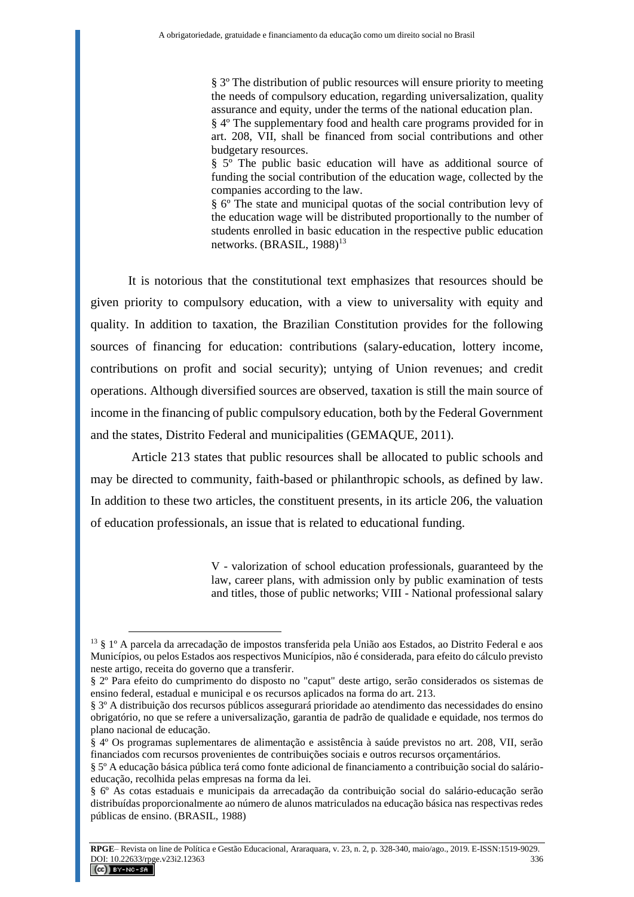§ 3º The distribution of public resources will ensure priority to meeting the needs of compulsory education, regarding universalization, quality assurance and equity, under the terms of the national education plan. § 4º The supplementary food and health care programs provided for in art. 208, VII, shall be financed from social contributions and other budgetary resources. § 5º The public basic education will have as additional source of funding the social contribution of the education wage, collected by the companies according to the law.

§ 6º The state and municipal quotas of the social contribution levy of the education wage will be distributed proportionally to the number of students enrolled in basic education in the respective public education networks. (BRASIL, 1988)<sup>13</sup>

It is notorious that the constitutional text emphasizes that resources should be given priority to compulsory education, with a view to universality with equity and quality. In addition to taxation, the Brazilian Constitution provides for the following sources of financing for education: contributions (salary-education, lottery income, contributions on profit and social security); untying of Union revenues; and credit operations. Although diversified sources are observed, taxation is still the main source of income in the financing of public compulsory education, both by the Federal Government and the states, Distrito Federal and municipalities (GEMAQUE, 2011).

Article 213 states that public resources shall be allocated to public schools and may be directed to community, faith-based or philanthropic schools, as defined by law. In addition to these two articles, the constituent presents, in its article 206, the valuation of education professionals, an issue that is related to educational funding.

> V - valorization of school education professionals, guaranteed by the law, career plans, with admission only by public examination of tests and titles, those of public networks; VIII - National professional salary

<sup>13</sup> § 1º A parcela da arrecadação de impostos transferida pela União aos Estados, ao Distrito Federal e aos Municípios, ou pelos Estados aos respectivos Municípios, não é considerada, para efeito do cálculo previsto neste artigo, receita do governo que a transferir.

<sup>§ 2</sup>º Para efeito do cumprimento do disposto no "caput" deste artigo, serão considerados os sistemas de ensino federal, estadual e municipal e os recursos aplicados na forma do art. 213.

<sup>§ 3</sup>º A distribuição dos recursos públicos assegurará prioridade ao atendimento das necessidades do ensino obrigatório, no que se refere a universalização, garantia de padrão de qualidade e equidade, nos termos do plano nacional de educação.

<sup>§ 4</sup>º Os programas suplementares de alimentação e assistência à saúde previstos no art. 208, VII, serão financiados com recursos provenientes de contribuições sociais e outros recursos orçamentários.

<sup>§ 5</sup>º A educação básica pública terá como fonte adicional de financiamento a contribuição social do salárioeducação, recolhida pelas empresas na forma da lei.

<sup>§ 6</sup>º As cotas estaduais e municipais da arrecadação da contribuição social do salário-educação serão distribuídas proporcionalmente ao número de alunos matriculados na educação básica nas respectivas redes públicas de ensino. (BRASIL, 1988)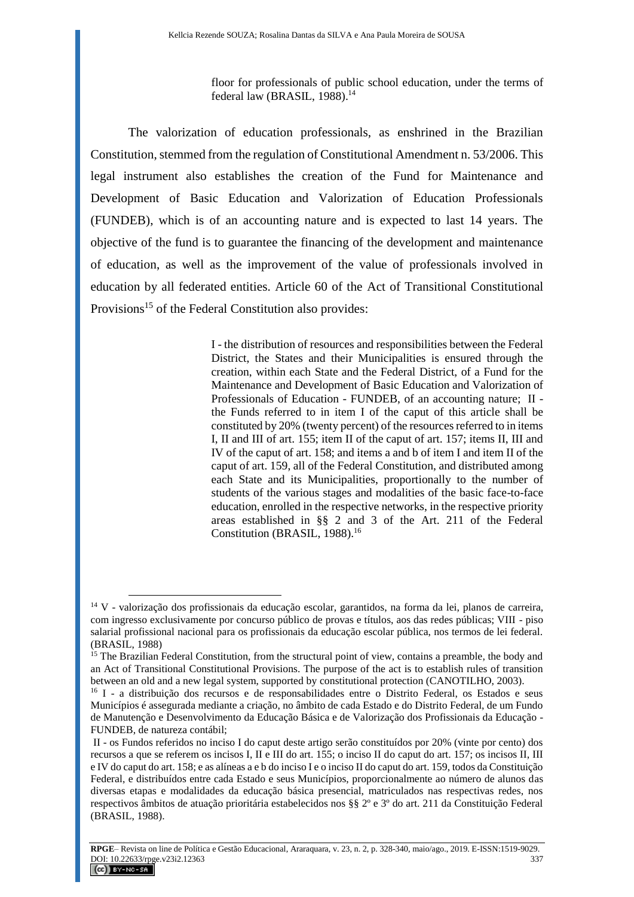floor for professionals of public school education, under the terms of federal law (BRASIL, 1988). 14

The valorization of education professionals, as enshrined in the Brazilian Constitution, stemmed from the regulation of Constitutional Amendment n. 53/2006. This legal instrument also establishes the creation of the Fund for Maintenance and Development of Basic Education and Valorization of Education Professionals (FUNDEB), which is of an accounting nature and is expected to last 14 years. The objective of the fund is to guarantee the financing of the development and maintenance of education, as well as the improvement of the value of professionals involved in education by all federated entities. Article 60 of the Act of Transitional Constitutional Provisions<sup>15</sup> of the Federal Constitution also provides:

> I - the distribution of resources and responsibilities between the Federal District, the States and their Municipalities is ensured through the creation, within each State and the Federal District, of a Fund for the Maintenance and Development of Basic Education and Valorization of Professionals of Education - FUNDEB, of an accounting nature; II the Funds referred to in item I of the caput of this article shall be constituted by 20% (twenty percent) of the resources referred to in items I, II and III of art. 155; item II of the caput of art. 157; items II, III and IV of the caput of art. 158; and items a and b of item I and item II of the caput of art. 159, all of the Federal Constitution, and distributed among each State and its Municipalities, proportionally to the number of students of the various stages and modalities of the basic face-to-face education, enrolled in the respective networks, in the respective priority areas established in §§ 2 and 3 of the Art. 211 of the Federal Constitution (BRASIL, 1988). 16

<sup>&</sup>lt;sup>14</sup> V - valorização dos profissionais da educação escolar, garantidos, na forma da lei, planos de carreira, com ingresso exclusivamente por concurso público de provas e títulos, aos das redes públicas; VIII - piso salarial profissional nacional para os profissionais da educação escolar pública, nos termos de lei federal. (BRASIL, 1988)

<sup>&</sup>lt;sup>15</sup> The Brazilian Federal Constitution, from the structural point of view, contains a preamble, the body and an Act of Transitional Constitutional Provisions. The purpose of the act is to establish rules of transition between an old and a new legal system, supported by constitutional protection (CANOTILHO, 2003).

<sup>&</sup>lt;sup>16</sup> I - a distribuição dos recursos e de responsabilidades entre o Distrito Federal, os Estados e seus Municípios é assegurada mediante a criação, no âmbito de cada Estado e do Distrito Federal, de um Fundo de Manutenção e Desenvolvimento da Educação Básica e de Valorização dos Profissionais da Educação - FUNDEB, de natureza contábil;

II - os Fundos referidos no inciso I do caput deste artigo serão constituídos por 20% (vinte por cento) dos recursos a que se referem os incisos I, II e III do art. 155; o inciso II do caput do art. 157; os incisos II, III e IV do caput do art. 158; e as alíneas a e b do inciso I e o inciso II do caput do art. 159, todos da Constituição Federal, e distribuídos entre cada Estado e seus Municípios, proporcionalmente ao número de alunos das diversas etapas e modalidades da educação básica presencial, matriculados nas respectivas redes, nos respectivos âmbitos de atuação prioritária estabelecidos nos §§ 2º e 3º do art. 211 da Constituição Federal (BRASIL, 1988).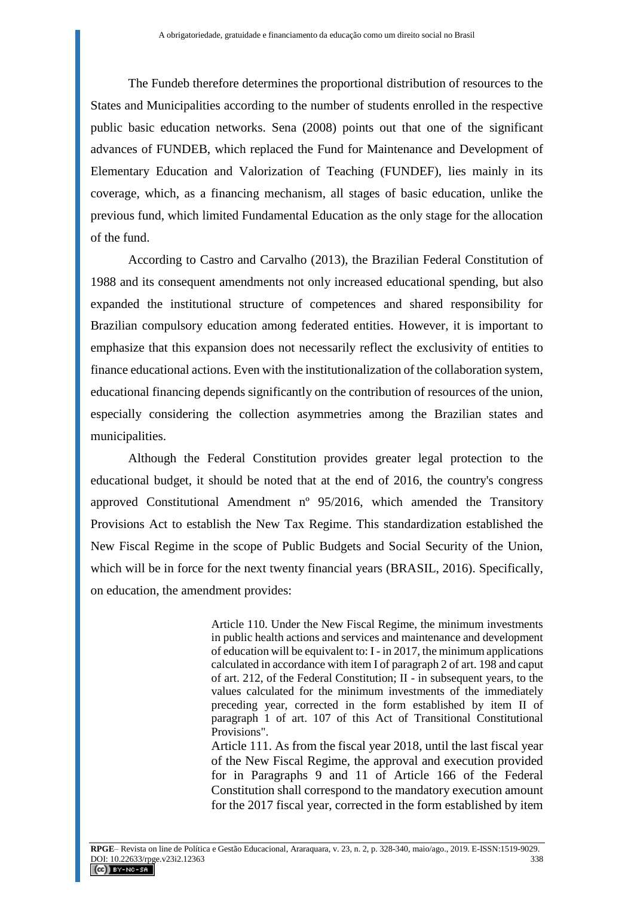The Fundeb therefore determines the proportional distribution of resources to the States and Municipalities according to the number of students enrolled in the respective public basic education networks. Sena (2008) points out that one of the significant advances of FUNDEB, which replaced the Fund for Maintenance and Development of Elementary Education and Valorization of Teaching (FUNDEF), lies mainly in its coverage, which, as a financing mechanism, all stages of basic education, unlike the previous fund, which limited Fundamental Education as the only stage for the allocation of the fund.

According to Castro and Carvalho (2013), the Brazilian Federal Constitution of 1988 and its consequent amendments not only increased educational spending, but also expanded the institutional structure of competences and shared responsibility for Brazilian compulsory education among federated entities. However, it is important to emphasize that this expansion does not necessarily reflect the exclusivity of entities to finance educational actions. Even with the institutionalization of the collaboration system, educational financing depends significantly on the contribution of resources of the union, especially considering the collection asymmetries among the Brazilian states and municipalities.

Although the Federal Constitution provides greater legal protection to the educational budget, it should be noted that at the end of 2016, the country's congress approved Constitutional Amendment nº 95/2016, which amended the Transitory Provisions Act to establish the New Tax Regime. This standardization established the New Fiscal Regime in the scope of Public Budgets and Social Security of the Union, which will be in force for the next twenty financial years (BRASIL, 2016). Specifically, on education, the amendment provides:

> Article 110. Under the New Fiscal Regime, the minimum investments in public health actions and services and maintenance and development of education will be equivalent to: I - in 2017, the minimum applications calculated in accordance with item I of paragraph 2 of art. 198 and caput of art. 212, of the Federal Constitution; II - in subsequent years, to the values calculated for the minimum investments of the immediately preceding year, corrected in the form established by item II of paragraph 1 of art. 107 of this Act of Transitional Constitutional Provisions".

> Article 111. As from the fiscal year 2018, until the last fiscal year of the New Fiscal Regime, the approval and execution provided for in Paragraphs 9 and 11 of Article 166 of the Federal Constitution shall correspond to the mandatory execution amount for the 2017 fiscal year, corrected in the form established by item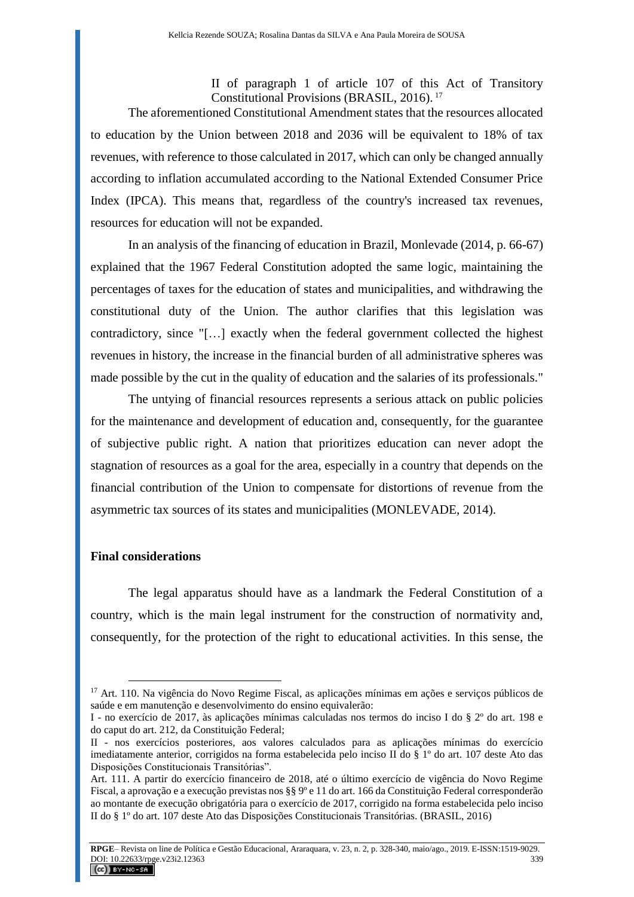II of paragraph 1 of article 107 of this Act of Transitory Constitutional Provisions (BRASIL, 2016). <sup>17</sup>

The aforementioned Constitutional Amendment states that the resources allocated to education by the Union between 2018 and 2036 will be equivalent to 18% of tax revenues, with reference to those calculated in 2017, which can only be changed annually according to inflation accumulated according to the National Extended Consumer Price Index (IPCA). This means that, regardless of the country's increased tax revenues, resources for education will not be expanded.

In an analysis of the financing of education in Brazil, Monlevade (2014, p. 66-67) explained that the 1967 Federal Constitution adopted the same logic, maintaining the percentages of taxes for the education of states and municipalities, and withdrawing the constitutional duty of the Union. The author clarifies that this legislation was contradictory, since "[…] exactly when the federal government collected the highest revenues in history, the increase in the financial burden of all administrative spheres was made possible by the cut in the quality of education and the salaries of its professionals."

The untying of financial resources represents a serious attack on public policies for the maintenance and development of education and, consequently, for the guarantee of subjective public right. A nation that prioritizes education can never adopt the stagnation of resources as a goal for the area, especially in a country that depends on the financial contribution of the Union to compensate for distortions of revenue from the asymmetric tax sources of its states and municipalities (MONLEVADE, 2014).

### **Final considerations**

 $\overline{a}$ 

The legal apparatus should have as a landmark the Federal Constitution of a country, which is the main legal instrument for the construction of normativity and, consequently, for the protection of the right to educational activities. In this sense, the

<sup>&</sup>lt;sup>17</sup> [Art. 110.](https://www.planalto.gov.br/ccivil_03/constituicao/Constituicao.htm#adctart110) Na vigência do Novo Regime Fiscal, as aplicações mínimas em ações e serviços públicos de saúde e em manutenção e desenvolvimento do ensino equivalerão:

I - no exercício de 2017, às aplicações mínimas calculadas nos termos do inciso I do § 2º do art. 198 e do caput do art. 212, da Constituição Federal;

II - nos exercícios posteriores, aos valores calculados para as aplicações mínimas do exercício imediatamente anterior, corrigidos na forma estabelecida pelo inciso II do § 1º do art. 107 deste Ato das Disposições Constitucionais Transitórias".

[Art. 111.](https://www.planalto.gov.br/ccivil_03/constituicao/Constituicao.htm#adctart111) A partir do exercício financeiro de 2018, até o último exercício de vigência do Novo Regime Fiscal, a aprovação e a execução previstas nos §§ 9º e 11 do art. 166 da Constituição Federal corresponderão ao montante de execução obrigatória para o exercício de 2017, corrigido na forma estabelecida pelo inciso II do § 1º do art. 107 deste Ato das Disposições Constitucionais Transitórias. (BRASIL, 2016)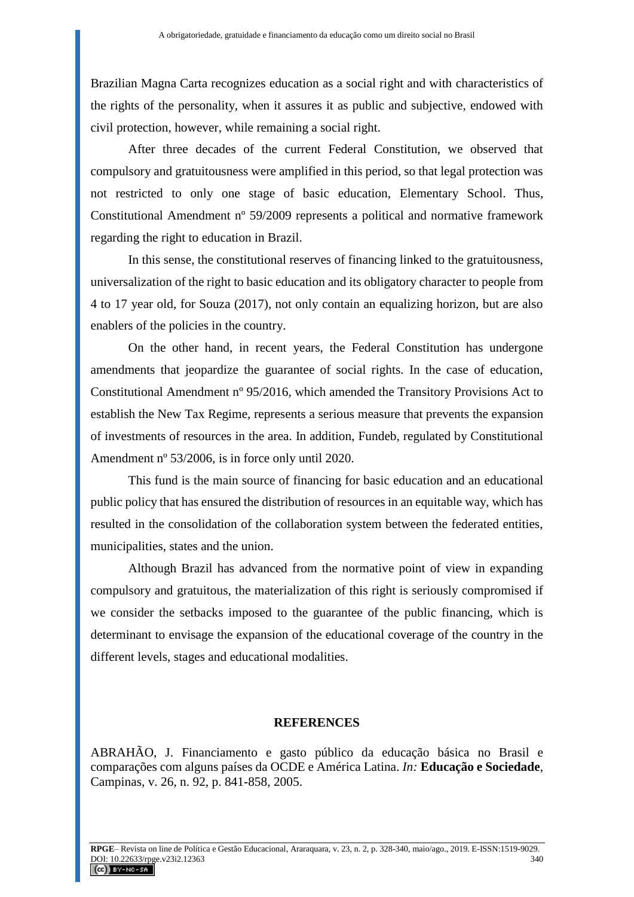Brazilian Magna Carta recognizes education as a social right and with characteristics of the rights of the personality, when it assures it as public and subjective, endowed with civil protection, however, while remaining a social right.

After three decades of the current Federal Constitution, we observed that compulsory and gratuitousness were amplified in this period, so that legal protection was not restricted to only one stage of basic education, Elementary School. Thus, Constitutional Amendment nº 59/2009 represents a political and normative framework regarding the right to education in Brazil.

In this sense, the constitutional reserves of financing linked to the gratuitousness, universalization of the right to basic education and its obligatory character to people from 4 to 17 year old, for Souza (2017), not only contain an equalizing horizon, but are also enablers of the policies in the country.

On the other hand, in recent years, the Federal Constitution has undergone amendments that jeopardize the guarantee of social rights. In the case of education, Constitutional Amendment nº 95/2016, which amended the Transitory Provisions Act to establish the New Tax Regime, represents a serious measure that prevents the expansion of investments of resources in the area. In addition, Fundeb, regulated by Constitutional Amendment nº 53/2006, is in force only until 2020.

This fund is the main source of financing for basic education and an educational public policy that has ensured the distribution of resources in an equitable way, which has resulted in the consolidation of the collaboration system between the federated entities, municipalities, states and the union.

Although Brazil has advanced from the normative point of view in expanding compulsory and gratuitous, the materialization of this right is seriously compromised if we consider the setbacks imposed to the guarantee of the public financing, which is determinant to envisage the expansion of the educational coverage of the country in the different levels, stages and educational modalities.

#### **REFERENCES**

ABRAHÃO, J. Financiamento e gasto público da educação básica no Brasil e comparações com alguns países da OCDE e América Latina. *In:* **Educação e Sociedade***,*  Campinas, v. 26, n. 92, p. 841-858, 2005.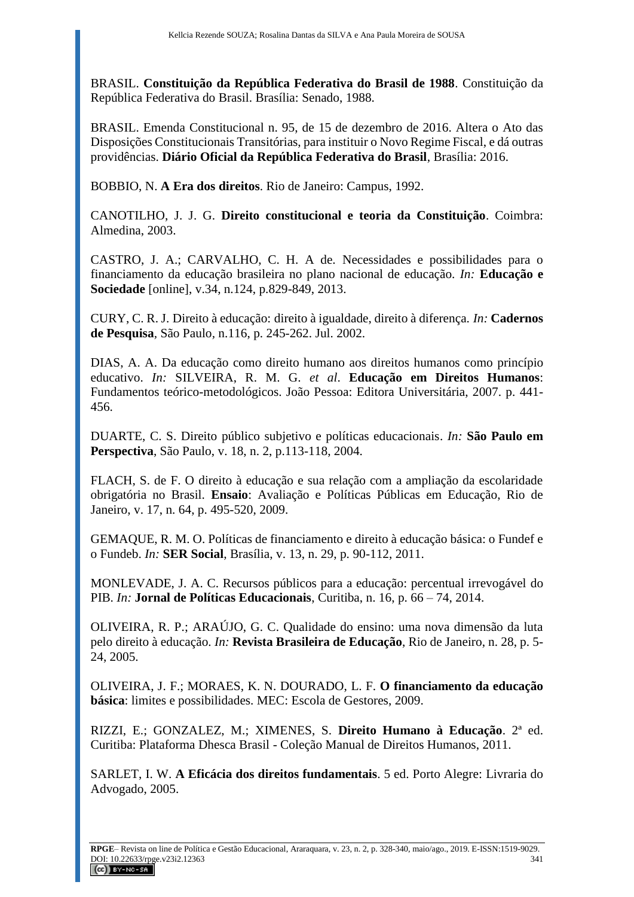BRASIL. **Constituição da República Federativa do Brasil de 1988**. Constituição da República Federativa do Brasil. Brasília: Senado, 1988.

BRASIL. Emenda Constitucional n. 95, de 15 de dezembro de 2016. Altera o Ato das Disposições Constitucionais Transitórias, para instituir o Novo Regime Fiscal, e dá outras providências. **Diário Oficial da República Federativa do Brasil**, Brasília: 2016.

BOBBIO, N. **A Era dos direitos**. Rio de Janeiro: Campus, 1992.

CANOTILHO, J. J. G. **Direito constitucional e teoria da Constituição**. Coimbra: Almedina, 2003.

CASTRO, J. A.; CARVALHO, C. H. A de. Necessidades e possibilidades para o financiamento da educação brasileira no plano nacional de educação. *In:* **Educação e Sociedade** [online], v.34, n.124, p.829-849, 2013.

CURY, C. R. J. Direito à educação: direito à igualdade, direito à diferença. *In:* **Cadernos de Pesquisa***,* São Paulo*,* n.116, p. 245-262. Jul. 2002.

DIAS, A. A. Da educação como direito humano aos direitos humanos como princípio educativo. *In:* SILVEIRA, R. M. G. *et al*. **Educação em Direitos Humanos**: Fundamentos teórico-metodológicos. João Pessoa: Editora Universitária, 2007. p. 441- 456.

DUARTE, C. S. Direito público subjetivo e políticas educacionais. *In:* **São Paulo em Perspectiva**, São Paulo, v. 18, n. 2, p.113-118, 2004.

FLACH, S. de F. O direito à educação e sua relação com a ampliação da escolaridade obrigatória no Brasil. **Ensaio**: Avaliação e Políticas Públicas em Educação, Rio de Janeiro, v. 17, n. 64, p. 495-520, 2009.

GEMAQUE, R. M. O. Políticas de financiamento e direito à educação básica: o Fundef e o Fundeb. *In:* **SER Social**, Brasília, v. 13, n. 29, p. 90-112, 2011.

MONLEVADE, J. A. C. Recursos públicos para a educação: percentual irrevogável do PIB. *In:* **Jornal de Políticas Educacionais**, Curitiba, n. 16, p. 66 – 74, 2014.

OLIVEIRA, R. P.; ARAÚJO, G. C. Qualidade do ensino: uma nova dimensão da luta pelo direito à educação. *In:* **Revista Brasileira de Educação**, Rio de Janeiro, n. 28, p. 5- 24, 2005.

OLIVEIRA, J. F.; MORAES, K. N. DOURADO, L. F. **O financiamento da educação básica**: limites e possibilidades. MEC: Escola de Gestores, 2009.

RIZZI, E.; GONZALEZ, M.; XIMENES, S. **Direito Humano à Educação**. 2ª ed. Curitiba: Plataforma Dhesca Brasil - Coleção Manual de Direitos Humanos, 2011.

SARLET, I. W. **A Eficácia dos direitos fundamentais**. 5 ed. Porto Alegre: Livraria do Advogado, 2005.